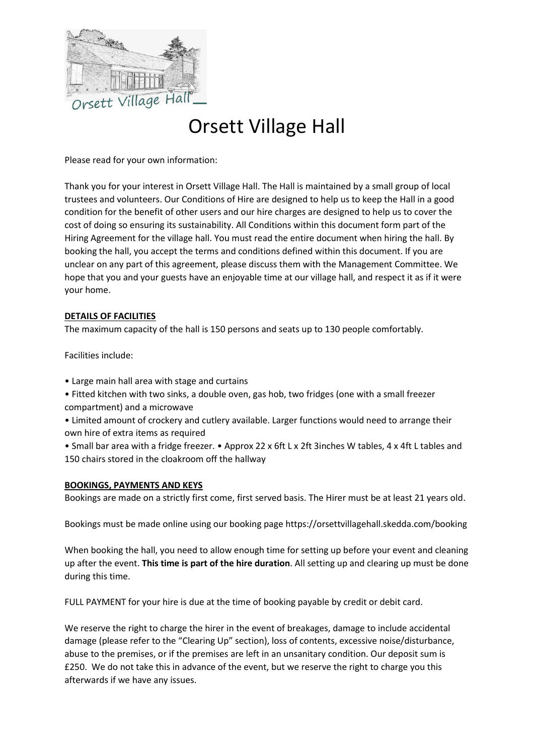

# Orsett Village Hall

Please read for your own information:

Thank you for your interest in Orsett Village Hall. The Hall is maintained by a small group of local trustees and volunteers. Our Conditions of Hire are designed to help us to keep the Hall in a good condition for the benefit of other users and our hire charges are designed to help us to cover the cost of doing so ensuring its sustainability. All Conditions within this document form part of the Hiring Agreement for the village hall. You must read the entire document when hiring the hall. By booking the hall, you accept the terms and conditions defined within this document. If you are unclear on any part of this agreement, please discuss them with the Management Committee. We hope that you and your guests have an enjoyable time at our village hall, and respect it as if it were your home.

### **DETAILS OF FACILITIES**

The maximum capacity of the hall is 150 persons and seats up to 130 people comfortably.

Facilities include:

- Large main hall area with stage and curtains
- Fitted kitchen with two sinks, a double oven, gas hob, two fridges (one with a small freezer compartment) and a microwave
- Limited amount of crockery and cutlery available. Larger functions would need to arrange their own hire of extra items as required

• Small bar area with a fridge freezer. • Approx 22 x 6ft L x 2ft 3inches W tables, 4 x 4ft L tables and 150 chairs stored in the cloakroom off the hallway

#### **BOOKINGS, PAYMENTS AND KEYS**

Bookings are made on a strictly first come, first served basis. The Hirer must be at least 21 years old.

Bookings must be made online using our booking page https://orsettvillagehall.skedda.com/booking

When booking the hall, you need to allow enough time for setting up before your event and cleaning up after the event. **This time is part of the hire duration**. All setting up and clearing up must be done during this time.

FULL PAYMENT for your hire is due at the time of booking payable by credit or debit card.

We reserve the right to charge the hirer in the event of breakages, damage to include accidental damage (please refer to the "Clearing Up" section), loss of contents, excessive noise/disturbance, abuse to the premises, or if the premises are left in an unsanitary condition. Our deposit sum is £250. We do not take this in advance of the event, but we reserve the right to charge you this afterwards if we have any issues.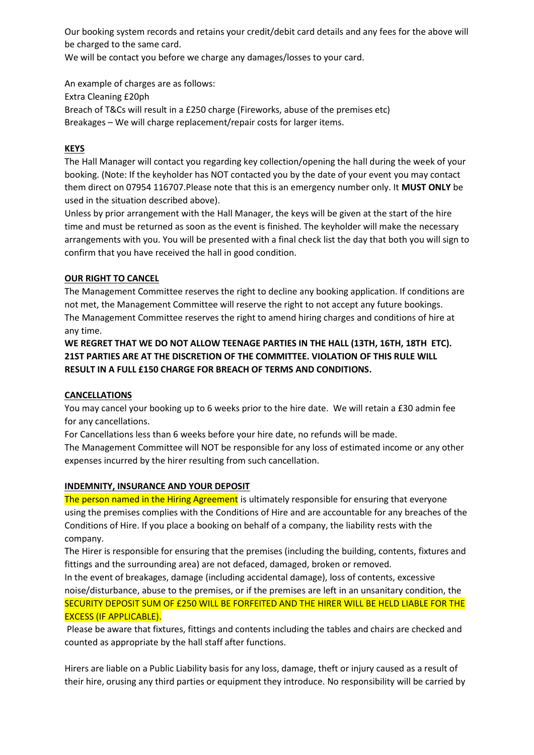Our booking system records and retains your credit/debit card details and any fees for the above will be charged to the same card.

We will be contact you before we charge any damages/losses to your card.

An example of charges are as follows: Extra Cleaning £20ph Breach of T&Cs will result in a £250 charge (Fireworks, abuse of the premises etc) Breakages – We will charge replacement/repair costs for larger items.

## **KEYS**

The Hall Manager will contact you regarding key collection/opening the hall during the week of your booking. (Note: If the keyholder has NOT contacted you by the date of your event you may contact them direct on 07954 116707.Please note that this is an emergency number only. It **MUST ONLY** be used in the situation described above).

Unless by prior arrangement with the Hall Manager, the keys will be given at the start of the hire time and must be returned as soon as the event is finished. The keyholder will make the necessary arrangements with you. You will be presented with a final check list the day that both you will sign to confirm that you have received the hall in good condition.

### **OUR RIGHT TO CANCEL**

The Management Committee reserves the right to decline any booking application. If conditions are not met, the Management Committee will reserve the right to not accept any future bookings. The Management Committee reserves the right to amend hiring charges and conditions of hire at any time.

**WE REGRET THAT WE DO NOT ALLOW TEENAGE PARTIES IN THE HALL (13TH, 16TH, 18TH ETC). 21ST PARTIES ARE AT THE DISCRETION OF THE COMMITTEE. VIOLATION OF THIS RULE WILL RESULT IN A FULL £150 CHARGE FOR BREACH OF TERMS AND CONDITIONS.** 

### **CANCELLATIONS**

You may cancel your booking up to 6 weeks prior to the hire date. We will retain a £30 admin fee for any cancellations.

For Cancellations less than 6 weeks before your hire date, no refunds will be made.

The Management Committee will NOT be responsible for any loss of estimated income or any other expenses incurred by the hirer resulting from such cancellation.

### **INDEMNITY, INSURANCE AND YOUR DEPOSIT**

The person named in the Hiring Agreement is ultimately responsible for ensuring that everyone using the premises complies with the Conditions of Hire and are accountable for any breaches of the Conditions of Hire. If you place a booking on behalf of a company, the liability rests with the company.

The Hirer is responsible for ensuring that the premises (including the building, contents, fixtures and fittings and the surrounding area) are not defaced, damaged, broken or removed.

In the event of breakages, damage (including accidental damage), loss of contents, excessive noise/disturbance, abuse to the premises, or if the premises are left in an unsanitary condition, the SECURITY DEPOSIT SUM OF £250 WILL BE FORFEITED AND THE HIRER WILL BE HELD LIABLE FOR THE EXCESS (IF APPLICABLE).

Please be aware that fixtures, fittings and contents including the tables and chairs are checked and counted as appropriate by the hall staff after functions.

Hirers are liable on a Public Liability basis for any loss, damage, theft or injury caused as a result of their hire, orusing any third parties or equipment they introduce. No responsibility will be carried by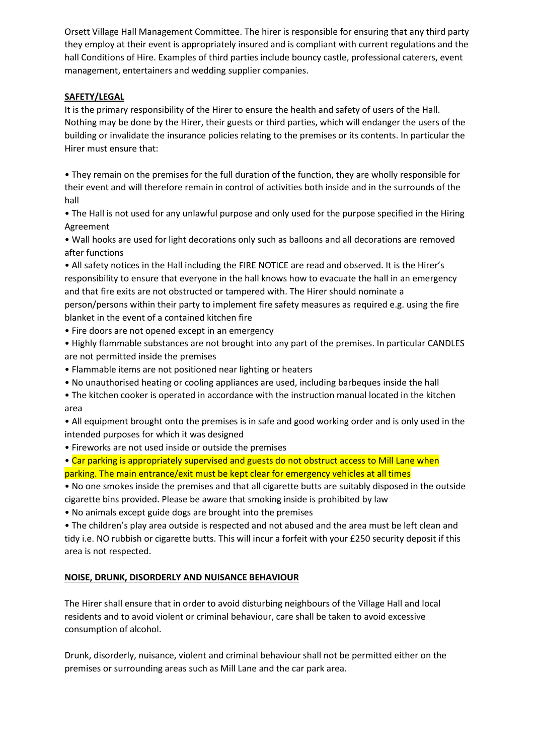Orsett Village Hall Management Committee. The hirer is responsible for ensuring that any third party they employ at their event is appropriately insured and is compliant with current regulations and the hall Conditions of Hire. Examples of third parties include bouncy castle, professional caterers, event management, entertainers and wedding supplier companies.

### **SAFETY/LEGAL**

It is the primary responsibility of the Hirer to ensure the health and safety of users of the Hall. Nothing may be done by the Hirer, their guests or third parties, which will endanger the users of the building or invalidate the insurance policies relating to the premises or its contents. In particular the Hirer must ensure that:

• They remain on the premises for the full duration of the function, they are wholly responsible for their event and will therefore remain in control of activities both inside and in the surrounds of the hall

• The Hall is not used for any unlawful purpose and only used for the purpose specified in the Hiring Agreement

• Wall hooks are used for light decorations only such as balloons and all decorations are removed after functions

• All safety notices in the Hall including the FIRE NOTICE are read and observed. It is the Hirer's responsibility to ensure that everyone in the hall knows how to evacuate the hall in an emergency and that fire exits are not obstructed or tampered with. The Hirer should nominate a person/persons within their party to implement fire safety measures as required e.g. using the fire blanket in the event of a contained kitchen fire

• Fire doors are not opened except in an emergency

• Highly flammable substances are not brought into any part of the premises. In particular CANDLES are not permitted inside the premises

- Flammable items are not positioned near lighting or heaters
- No unauthorised heating or cooling appliances are used, including barbeques inside the hall
- The kitchen cooker is operated in accordance with the instruction manual located in the kitchen area

• All equipment brought onto the premises is in safe and good working order and is only used in the intended purposes for which it was designed

• Fireworks are not used inside or outside the premises

• Car parking is appropriately supervised and guests do not obstruct access to Mill Lane when

parking. The main entrance/exit must be kept clear for emergency vehicles at all times

• No one smokes inside the premises and that all cigarette butts are suitably disposed in the outside cigarette bins provided. Please be aware that smoking inside is prohibited by law

• No animals except guide dogs are brought into the premises

• The children's play area outside is respected and not abused and the area must be left clean and tidy i.e. NO rubbish or cigarette butts. This will incur a forfeit with your £250 security deposit if this area is not respected.

## **NOISE, DRUNK, DISORDERLY AND NUISANCE BEHAVIOUR**

The Hirer shall ensure that in order to avoid disturbing neighbours of the Village Hall and local residents and to avoid violent or criminal behaviour, care shall be taken to avoid excessive consumption of alcohol.

Drunk, disorderly, nuisance, violent and criminal behaviour shall not be permitted either on the premises or surrounding areas such as Mill Lane and the car park area.